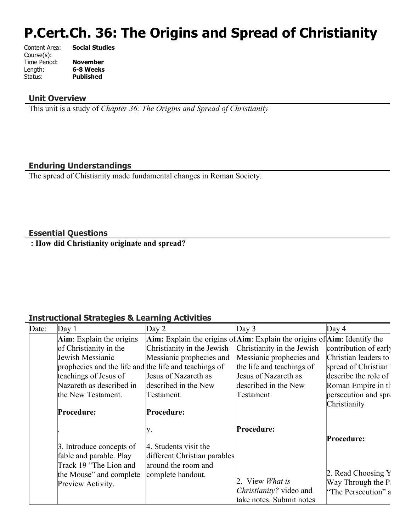# **P.Cert.Ch. 36: The Origins and Spread of Christianity**

| Content Area: | <b>Social Studies</b> |
|---------------|-----------------------|
| Course(s):    |                       |
| Time Period:  | <b>November</b>       |
| Length:       | 6-8 Weeks             |
| Status:       | <b>Published</b>      |
|               |                       |

### **Unit Overview**

This unit is a study of *Chapter 36: The Origins and Spread of Christianity*

# **Enduring Understandings**

The spread of Chistianity made fundamental changes in Roman Society.

## **Essential Questions**

 **: How did Christianity originate and spread?**

### **Instructional Strategies & Learning Activities**

| Date: | Day $1$                                               | Day $2$                      | Day $3$                                                                         | Day $4$               |
|-------|-------------------------------------------------------|------------------------------|---------------------------------------------------------------------------------|-----------------------|
|       | $Aim$ : Explain the origins                           |                              | Aim: Explain the origins of $Aim$ : Explain the origins of $Aim$ : Identify the |                       |
|       | of Christianity in the                                | Christianity in the Jewish   | Christianity in the Jewish                                                      | contribution of early |
|       | Jewish Messianic                                      | Messianic prophecies and     | Messianic prophecies and                                                        | Christian leaders to  |
|       | prophecies and the life and the life and teachings of |                              | the life and teachings of                                                       | spread of Christian   |
|       | teachings of Jesus of                                 | Jesus of Nazareth as         | Jesus of Nazareth as                                                            | describe the role of  |
|       | Nazareth as described in                              | described in the New         | described in the New                                                            | Roman Empire in th    |
|       | the New Testament.                                    | Testament.                   | Testament                                                                       | persecution and spro  |
|       |                                                       |                              |                                                                                 | Christianity          |
|       | Procedure:                                            | Procedure:                   |                                                                                 |                       |
|       |                                                       | IV.                          | <b>Procedure:</b>                                                               |                       |
|       |                                                       |                              |                                                                                 | Procedure:            |
|       | 3. Introduce concepts of                              | 4. Students visit the        |                                                                                 |                       |
|       | fable and parable. Play                               | different Christian parables |                                                                                 |                       |
|       | Track 19 "The Lion and                                | around the room and          |                                                                                 |                       |
|       | the Mouse" and complete                               | complete handout.            |                                                                                 | 2. Read Choosing $Y$  |
|       | Preview Activity.                                     |                              | 2. View <i>What is</i>                                                          | Way Through the P     |
|       |                                                       |                              | Christianity? video and                                                         | "The Persecution" a   |
|       |                                                       |                              | take notes. Submit notes                                                        |                       |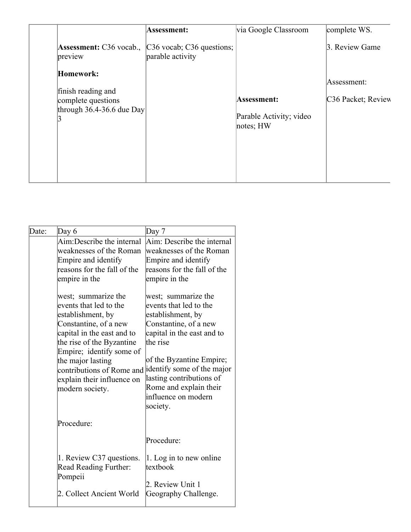|                                                                                        | Assessment:                                           | via Google Classroom                                | complete WS.                                  |
|----------------------------------------------------------------------------------------|-------------------------------------------------------|-----------------------------------------------------|-----------------------------------------------|
| <b>Assessment:</b> C36 vocab.,<br>preview                                              | $\vert$ C36 vocab; C36 questions;<br>parable activity |                                                     | 3. Review Game                                |
| Homework:<br>finish reading and<br>complete questions<br>through $36.4 - 36.6$ due Day |                                                       | Assessment:<br>Parable Activity; video<br>notes; HW | Assessment:<br>C <sub>36</sub> Packet; Review |

| Date: | Day $6$                                                                                                                                                                                                                                                                                                                                                                                                              | Day 7                                                                                                                                                                                                                                                                                                                                                                                                                    |
|-------|----------------------------------------------------------------------------------------------------------------------------------------------------------------------------------------------------------------------------------------------------------------------------------------------------------------------------------------------------------------------------------------------------------------------|--------------------------------------------------------------------------------------------------------------------------------------------------------------------------------------------------------------------------------------------------------------------------------------------------------------------------------------------------------------------------------------------------------------------------|
|       | Aim:Describe the internal<br>weaknesses of the Roman<br>Empire and identify<br>reasons for the fall of the<br>empire in the<br>west; summarize the<br>events that led to the<br>establishment, by<br>Constantine, of a new<br>capital in the east and to<br>the rise of the Byzantine<br>Empire; identify some of<br>the major lasting<br>contributions of Rome and<br>explain their influence on<br>modern society. | Aim: Describe the internal<br>weaknesses of the Roman<br>Empire and identify<br>reasons for the fall of the<br>empire in the<br>west; summarize the<br>events that led to the<br>establishment, by<br>Constantine, of a new<br>capital in the east and to<br>the rise<br>of the Byzantine Empire;<br>identify some of the major<br>lasting contributions of<br>Rome and explain their<br>influence on modern<br>society. |
|       | Procedure:                                                                                                                                                                                                                                                                                                                                                                                                           |                                                                                                                                                                                                                                                                                                                                                                                                                          |
|       |                                                                                                                                                                                                                                                                                                                                                                                                                      | Procedure:                                                                                                                                                                                                                                                                                                                                                                                                               |
|       | 1. Review C37 questions.<br><b>Read Reading Further:</b><br>Pompeii                                                                                                                                                                                                                                                                                                                                                  | 1. Log in to new online<br>textbook<br>2. Review Unit 1                                                                                                                                                                                                                                                                                                                                                                  |
|       | 2. Collect Ancient World                                                                                                                                                                                                                                                                                                                                                                                             | Geography Challenge.                                                                                                                                                                                                                                                                                                                                                                                                     |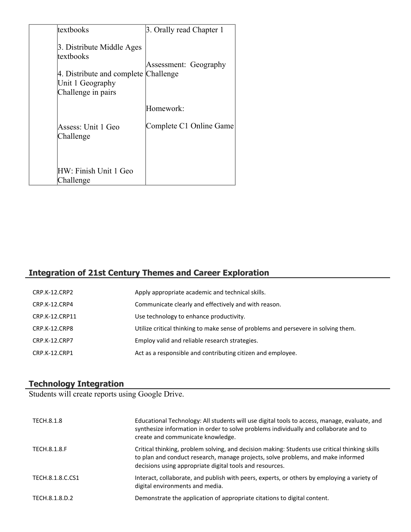| textbooks                                                                                                                | 3. Orally read Chapter 1 |
|--------------------------------------------------------------------------------------------------------------------------|--------------------------|
| 3. Distribute Middle Ages<br>textbooks<br>4. Distribute and complete Challenge<br>Unit 1 Geography<br>Challenge in pairs | Assessment: Geography    |
|                                                                                                                          | Homework:                |
| Assess: Unit 1 Geo<br>Challenge                                                                                          | Complete C1 Online Game  |
| HW: Finish Unit 1 Geo<br>Challenge                                                                                       |                          |

# **Integration of 21st Century Themes and Career Exploration**

| CRP.K-12.CRP2        | Apply appropriate academic and technical skills.                                   |
|----------------------|------------------------------------------------------------------------------------|
| CRP.K-12.CRP4        | Communicate clearly and effectively and with reason.                               |
| CRP.K-12.CRP11       | Use technology to enhance productivity.                                            |
| CRP.K-12.CRP8        | Utilize critical thinking to make sense of problems and persevere in solving them. |
| <b>CRP.K-12.CRP7</b> | Employ valid and reliable research strategies.                                     |
| CRP.K-12.CRP1        | Act as a responsible and contributing citizen and employee.                        |

#### **Technology Integration**

Students will create reports using Google Drive.

| TECH.8.1.8       | Educational Technology: All students will use digital tools to access, manage, evaluate, and<br>synthesize information in order to solve problems individually and collaborate and to<br>create and communicate knowledge.                     |
|------------------|------------------------------------------------------------------------------------------------------------------------------------------------------------------------------------------------------------------------------------------------|
| TECH.8.1.8.F     | Critical thinking, problem solving, and decision making: Students use critical thinking skills<br>to plan and conduct research, manage projects, solve problems, and make informed<br>decisions using appropriate digital tools and resources. |
| TECH.8.1.8.C.CS1 | Interact, collaborate, and publish with peers, experts, or others by employing a variety of<br>digital environments and media.                                                                                                                 |
| TECH.8.1.8.D.2   | Demonstrate the application of appropriate citations to digital content.                                                                                                                                                                       |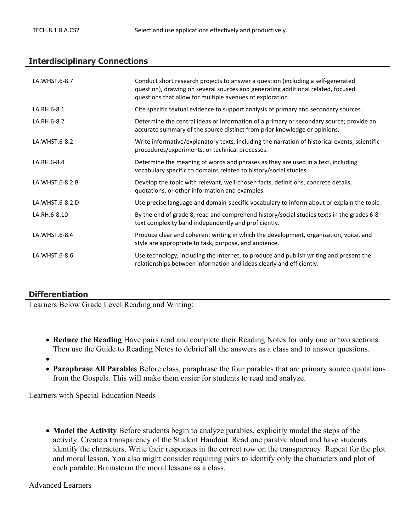#### **Interdisciplinary Connections**

| LA.WHST.6-8.7   | Conduct short research projects to answer a question (including a self-generated<br>question), drawing on several sources and generating additional related, focused<br>questions that allow for multiple avenues of exploration. |
|-----------------|-----------------------------------------------------------------------------------------------------------------------------------------------------------------------------------------------------------------------------------|
| LA.RH.6-8.1     | Cite specific textual evidence to support analysis of primary and secondary sources.                                                                                                                                              |
| LA.RH.6-8.2     | Determine the central ideas or information of a primary or secondary source; provide an<br>accurate summary of the source distinct from prior knowledge or opinions.                                                              |
| LA.WHST.6-8.2   | Write informative/explanatory texts, including the narration of historical events, scientific<br>procedures/experiments, or technical processes.                                                                                  |
| LA.RH.6-8.4     | Determine the meaning of words and phrases as they are used in a text, including<br>vocabulary specific to domains related to history/social studies.                                                                             |
| LA.WHST.6-8.2.B | Develop the topic with relevant, well-chosen facts, definitions, concrete details,<br>quotations, or other information and examples.                                                                                              |
| LA.WHST.6-8.2.D | Use precise language and domain-specific vocabulary to inform about or explain the topic.                                                                                                                                         |
| LA.RH.6-8.10    | By the end of grade 8, read and comprehend history/social studies texts in the grades 6-8<br>text complexity band independently and proficiently.                                                                                 |
| LA.WHST.6-8.4   | Produce clear and coherent writing in which the development, organization, voice, and<br>style are appropriate to task, purpose, and audience.                                                                                    |
| LA.WHST.6-8.6   | Use technology, including the Internet, to produce and publish writing and present the<br>relationships between information and ideas clearly and efficiently.                                                                    |

#### **Differentiation**

Learners Below Grade Level Reading and Writing:

- **Reduce the Reading** Have pairs read and complete their Reading Notes for only one or two sections. Then use the Guide to Reading Notes to debrief all the answers as a class and to answer questions.
- $\bullet$
- **Paraphrase All Parables** Before class, paraphrase the four parables that are primary source quotations from the Gospels. This will make them easier for students to read and analyze.

Learners with Special Education Needs

 **Model the Activity** Before students begin to analyze parables, explicitly model the steps of the activity. Create a transparency of the Student Handout. Read one parable aloud and have students identify the characters. Write their responses in the correct row on the transparency. Repeat for the plot and moral lesson. You also might consider requiring pairs to identify only the characters and plot of each parable. Brainstorm the moral lessons as a class.

Advanced Learners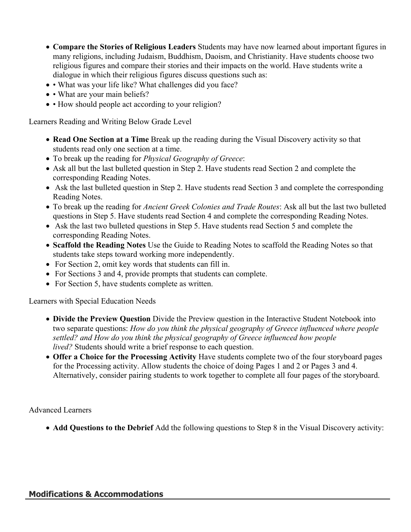- **Compare the Stories of Religious Leaders** Students may have now learned about important figures in many religions, including Judaism, Buddhism, Daoism, and Christianity. Have students choose two religious figures and compare their stories and their impacts on the world. Have students write a dialogue in which their religious figures discuss questions such as:
- What was your life like? What challenges did you face?
- • What are your main beliefs?
- How should people act according to your religion?

Learners Reading and Writing Below Grade Level

- **Read One Section at a Time** Break up the reading during the Visual Discovery activity so that students read only one section at a time.
- To break up the reading for *Physical Geography of Greece*:
- Ask all but the last bulleted question in Step 2. Have students read Section 2 and complete the corresponding Reading Notes.
- Ask the last bulleted question in Step 2. Have students read Section 3 and complete the corresponding Reading Notes.
- To break up the reading for *Ancient Greek Colonies and Trade Routes*: Ask all but the last two bulleted questions in Step 5. Have students read Section 4 and complete the corresponding Reading Notes.
- Ask the last two bulleted questions in Step 5. Have students read Section 5 and complete the corresponding Reading Notes.
- **Scaffold the Reading Notes** Use the Guide to Reading Notes to scaffold the Reading Notes so that students take steps toward working more independently.
- For Section 2, omit key words that students can fill in.
- For Sections 3 and 4, provide prompts that students can complete.
- For Section 5, have students complete as written.

Learners with Special Education Needs

- **Divide the Preview Question** Divide the Preview question in the Interactive Student Notebook into two separate questions: *How do you think the physical geography of Greece influenced where people settled? and How do you think the physical geography of Greece influenced how people lived?* Students should write a brief response to each question.
- **Offer a Choice for the Processing Activity** Have students complete two of the four storyboard pages for the Processing activity. Allow students the choice of doing Pages 1 and 2 or Pages 3 and 4. Alternatively, consider pairing students to work together to complete all four pages of the storyboard.

Advanced Learners

**Add Questions to the Debrief** Add the following questions to Step 8 in the Visual Discovery activity: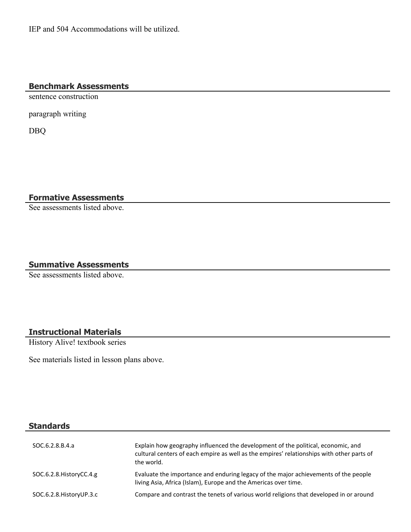#### **Benchmark Assessments**

sentence construction

paragraph writing

DBQ

**Formative Assessments**

See assessments listed above.

# **Summative Assessments**

See assessments listed above.

# **Instructional Materials**

History Alive! textbook series

See materials listed in lesson plans above.

# **Standards**

| SOC.6.2.8.B.4.a           | Explain how geography influenced the development of the political, economic, and<br>cultural centers of each empire as well as the empires' relationships with other parts of<br>the world. |
|---------------------------|---------------------------------------------------------------------------------------------------------------------------------------------------------------------------------------------|
| SOC.6.2.8. History CC.4.g | Evaluate the importance and enduring legacy of the major achievements of the people<br>living Asia, Africa (Islam), Europe and the Americas over time.                                      |
| SOC.6.2.8. History UP.3.c | Compare and contrast the tenets of various world religions that developed in or around                                                                                                      |